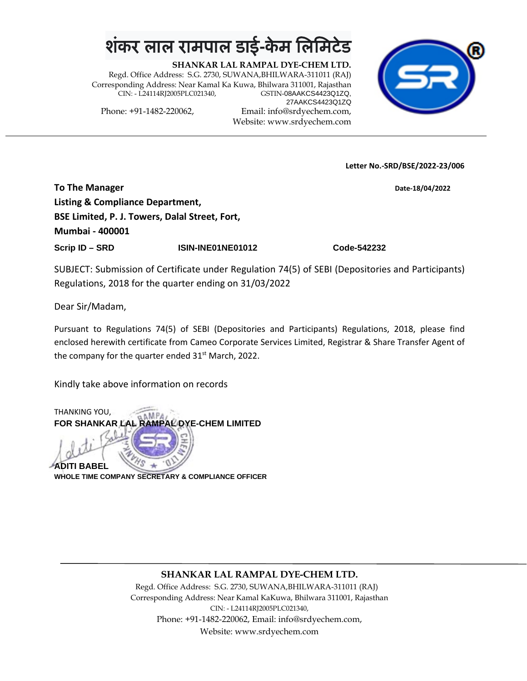## <u>शंकर लाल रामपाल डाई-केम लिमि</u>

**SHANKAR LAL RAMPAL DYE-CHEM LTD.** Regd. Office Address: S.G. 2730, SUWANA,BHILWARA-311011 (RAJ) Corresponding Address: Near Kamal Ka Kuwa, Bhilwara 311001, Rajasthan CIN: - L24114RJ2005PLC021340, 27AAKCS4423Q1ZQ

Phone: +91-1482-220062, Email: info@srdyechem.com, Website: www.srdyechem.com



**Letter No.-SRD/BSE/2022-23/006**

**To The Manager Date-18/04/2022 Listing & Compliance Department, BSE Limited, P. J. Towers, Dalal Street, Fort, Mumbai - 400001 Scrip ID – SRD ISIN-INE01NE01012 Code-542232**

SUBJECT: Submission of Certificate under Regulation 74(5) of SEBI (Depositories and Participants) Regulations, 2018 for the quarter ending on 31/03/2022

Dear Sir/Madam,

Pursuant to Regulations 74(5) of SEBI (Depositories and Participants) Regulations, 2018, please find enclosed herewith certificate from Cameo Corporate Services Limited, Registrar & Share Transfer Agent of the company for the quarter ended  $31<sup>st</sup>$  March, 2022.

Kindly take above information on records



## **SHANKAR LAL RAMPAL DYE-CHEM LTD.**

Regd. Office Address: S.G. 2730, SUWANA,BHILWARA-311011 (RAJ) Corresponding Address: Near Kamal KaKuwa, Bhilwara 311001, Rajasthan CIN: - L24114RJ2005PLC021340, Phone: +91-1482-220062, Email: info@srdyechem.com, Website: www.srdyechem.com